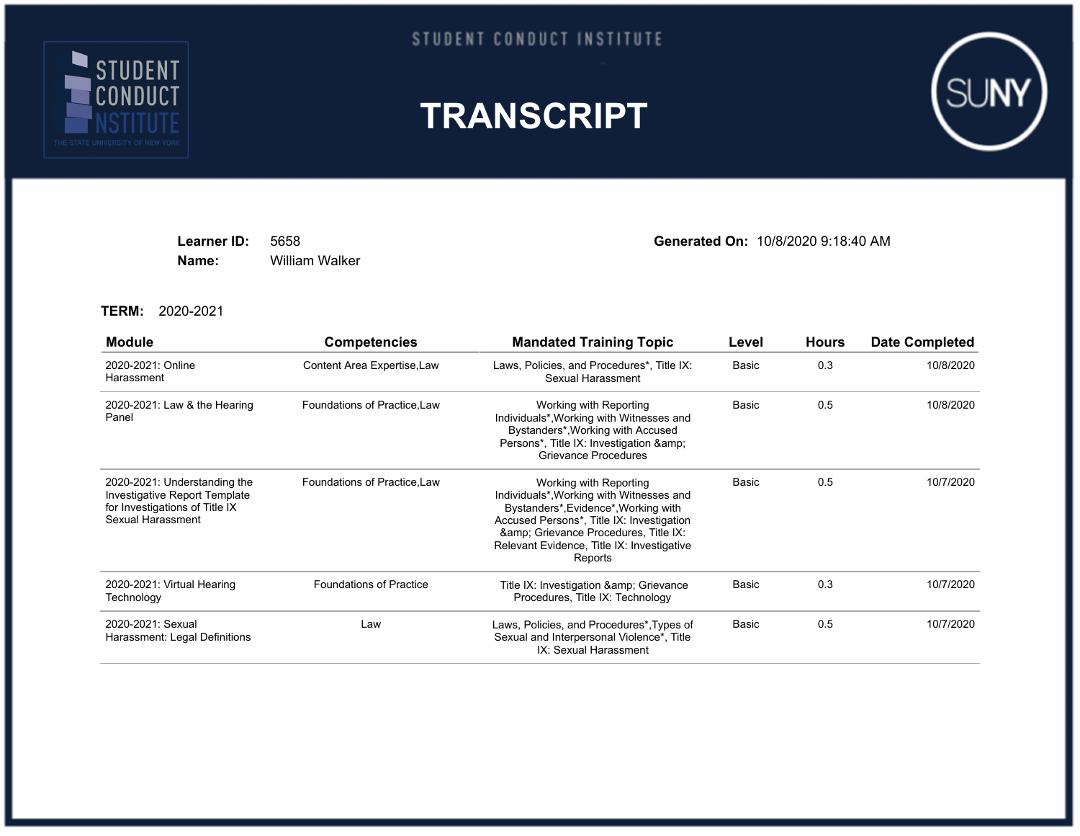

## STUDENT CONDUCT INSTITUTE





**Name:** William Walker

**Learner ID:** 5658 **Generated On:** 10/8/2020 9:18:40 AM

**TERM:** 2020-2021

| <b>Module</b>                                                                                                        | <b>Competencies</b>            | <b>Mandated Training Topic</b>                                                                                                                                                                                                                        | Level | <b>Hours</b> | <b>Date Completed</b> |
|----------------------------------------------------------------------------------------------------------------------|--------------------------------|-------------------------------------------------------------------------------------------------------------------------------------------------------------------------------------------------------------------------------------------------------|-------|--------------|-----------------------|
| 2020-2021: Online<br>Harassment                                                                                      | Content Area Expertise, Law    | Laws, Policies, and Procedures*, Title IX:<br>Sexual Harassment                                                                                                                                                                                       | Basic | 0.3          | 10/8/2020             |
| 2020-2021: Law & the Hearing<br>Panel                                                                                | Foundations of Practice, Law   | Working with Reporting<br>Individuals*, Working with Witnesses and<br>Bystanders*, Working with Accused<br>Persons*, Title IX: Investigation &<br><b>Grievance Procedures</b>                                                                         | Basic | 0.5          | 10/8/2020             |
| 2020-2021: Understanding the<br>Investigative Report Template<br>for Investigations of Title IX<br>Sexual Harassment | Foundations of Practice, Law   | Working with Reporting<br>Individuals*, Working with Witnesses and<br>Bystanders*, Evidence*, Working with<br>Accused Persons*, Title IX: Investigation<br>& Grievance Procedures, Title IX:<br>Relevant Evidence, Title IX: Investigative<br>Reports | Basic | 0.5          | 10/7/2020             |
| 2020-2021: Virtual Hearing<br>Technology                                                                             | <b>Foundations of Practice</b> | Title IX: Investigation & amp; Grievance<br>Procedures, Title IX: Technology                                                                                                                                                                          | Basic | 0.3          | 10/7/2020             |
| 2020-2021: Sexual<br>Harassment: Legal Definitions                                                                   | Law                            | Laws, Policies, and Procedures*, Types of<br>Sexual and Interpersonal Violence*, Title<br>IX: Sexual Harassment                                                                                                                                       | Basic | 0.5          | 10/7/2020             |